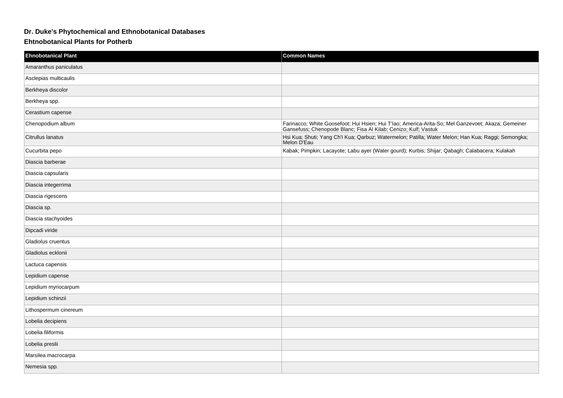## **Dr. Duke's Phytochemical and Ethnobotanical Databases**

## **Ehtnobotanical Plants for Potherb**

| <b>Ehnobotanical Plant</b> | <b>Common Names</b>                                                                                                                                                   |
|----------------------------|-----------------------------------------------------------------------------------------------------------------------------------------------------------------------|
| Amaranthus paniculatus     |                                                                                                                                                                       |
| Asclepias multicaulis      |                                                                                                                                                                       |
| Berkheya discolor          |                                                                                                                                                                       |
| Berkheya spp.              |                                                                                                                                                                       |
| Cerastium capense          |                                                                                                                                                                       |
| Chenopodium album          | Farinacco; White Goosefoot; Hui Hsien; Hui T'lao; America-Arita-So; Mel Ganzevoet; Akaza; Gemeiner<br>Gansefuss; Chenopode Blanc; Fisa Al Kilab; Cenizo; Kulf; Vastuk |
| Citrullus lanatus          | Hsi Kua; Shuti; Yang Ch'l Kua; Qarbuz; Watermelon; Patilla; Water Melon; Han Kua; Raggi; Semongka;<br>Melon D'Eau                                                     |
| Cucurbita pepo             | Kabak; Pimpkin; Lacayote; Labu ayer (Water gourd); Kurbis; Shijar; Qabagh; Calabacera; Kulakah                                                                        |
| Diascia barberae           |                                                                                                                                                                       |
| Diascia capsularis         |                                                                                                                                                                       |
| Diascia integerrima        |                                                                                                                                                                       |
| Diascia rigescens          |                                                                                                                                                                       |
| Diascia sp.                |                                                                                                                                                                       |
| Diascia stachyoides        |                                                                                                                                                                       |
| Dipcadi viride             |                                                                                                                                                                       |
| Gladiolus cruentus         |                                                                                                                                                                       |
| Gladiolus ecklonii         |                                                                                                                                                                       |
| Lactuca capensis           |                                                                                                                                                                       |
| Lepidium capense           |                                                                                                                                                                       |
| Lepidium myriocarpum       |                                                                                                                                                                       |
| Lepidium schinzii          |                                                                                                                                                                       |
| Lithospermum cinereum      |                                                                                                                                                                       |
| Lobelia decipiens          |                                                                                                                                                                       |
| Lobelia filiformis         |                                                                                                                                                                       |
| Lobelia preslii            |                                                                                                                                                                       |
| Marsilea macrocarpa        |                                                                                                                                                                       |
| Nemesia spp.               |                                                                                                                                                                       |
|                            |                                                                                                                                                                       |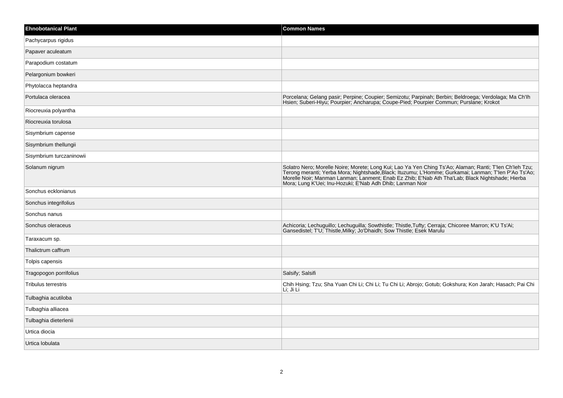| <b>Ehnobotanical Plant</b> | <b>Common Names</b>                                                                                                                                                                                                                                                                                                                                                             |
|----------------------------|---------------------------------------------------------------------------------------------------------------------------------------------------------------------------------------------------------------------------------------------------------------------------------------------------------------------------------------------------------------------------------|
| Pachycarpus rigidus        |                                                                                                                                                                                                                                                                                                                                                                                 |
| Papaver aculeatum          |                                                                                                                                                                                                                                                                                                                                                                                 |
| Parapodium costatum        |                                                                                                                                                                                                                                                                                                                                                                                 |
| Pelargonium bowkeri        |                                                                                                                                                                                                                                                                                                                                                                                 |
| Phytolacca heptandra       |                                                                                                                                                                                                                                                                                                                                                                                 |
| Portulaca oleracea         | Porcelana; Gelang pasir; Perpine; Coupier; Semizotu; Parpinah; Berbin; Beldroega; Verdolaga; Ma Ch'lh<br>Hsien; Suberi-Hiyu; Pourpier; Ancharupa; Coupe-Pied; Pourpier Commun; Purslane; Krokot                                                                                                                                                                                 |
| Riocreuxia polyantha       |                                                                                                                                                                                                                                                                                                                                                                                 |
| Riocreuxia torulosa        |                                                                                                                                                                                                                                                                                                                                                                                 |
| Sisymbrium capense         |                                                                                                                                                                                                                                                                                                                                                                                 |
| Sisymbrium thellungii      |                                                                                                                                                                                                                                                                                                                                                                                 |
| Sisymbrium turczaninowii   |                                                                                                                                                                                                                                                                                                                                                                                 |
| Solanum nigrum             | Solatro Nero; Morelle Noire; Morete; Long Kui; Lao Ya Yen Ching Ts'Ao; Alaman; Ranti; T'len Ch'leh Tzu;<br>Terong meranti; Yerba Mora; Nightshade, Black; Ituzumu; L'Homme; Gurkamai; Lanman; T'len P'Ao Ts'Ao;<br>Morelle Noir; Manman Lanman; Lanment; Enab Ez Zhib; E'Nab Ath Tha'Lab; Black Nightshade; Hierba<br>Mora; Lung K'Uei; Inu-Hozuki; E'Nab Adh Dhib; Lanman Noir |
| Sonchus ecklonianus        |                                                                                                                                                                                                                                                                                                                                                                                 |
| Sonchus integrifolius      |                                                                                                                                                                                                                                                                                                                                                                                 |
| Sonchus nanus              |                                                                                                                                                                                                                                                                                                                                                                                 |
| Sonchus oleraceus          | Achicoria; Lechuguillo; Lechuguilla; Sowthistle; Thistle, Tufty; Cerraja; Chicoree Marron; K'U Ts'Ai;<br>Gansedistel, T'U, Thistle, Milky, Jo'Dhaidh, Sow Thistle, Esek Marulu                                                                                                                                                                                                  |
| Taraxacum sp.              |                                                                                                                                                                                                                                                                                                                                                                                 |
| Thalictrum caffrum         |                                                                                                                                                                                                                                                                                                                                                                                 |
| Tolpis capensis            |                                                                                                                                                                                                                                                                                                                                                                                 |
| Tragopogon porrifolius     | Salsify; Salsifi                                                                                                                                                                                                                                                                                                                                                                |
| <b>Tribulus terrestris</b> | Chih Hsing; Tzu; Sha Yuan Chi Li; Chi Li; Tu Chi Li; Abrojo; Gotub; Gokshura; Kon Jarah; Hasach; Pai Chi<br>Li: Ji Li                                                                                                                                                                                                                                                           |
| Tulbaghia acutiloba        |                                                                                                                                                                                                                                                                                                                                                                                 |
| Tulbaghia alliacea         |                                                                                                                                                                                                                                                                                                                                                                                 |
| Tulbaghia dieterlenii      |                                                                                                                                                                                                                                                                                                                                                                                 |
| Urtica diocia              |                                                                                                                                                                                                                                                                                                                                                                                 |
| Urtica lobulata            |                                                                                                                                                                                                                                                                                                                                                                                 |